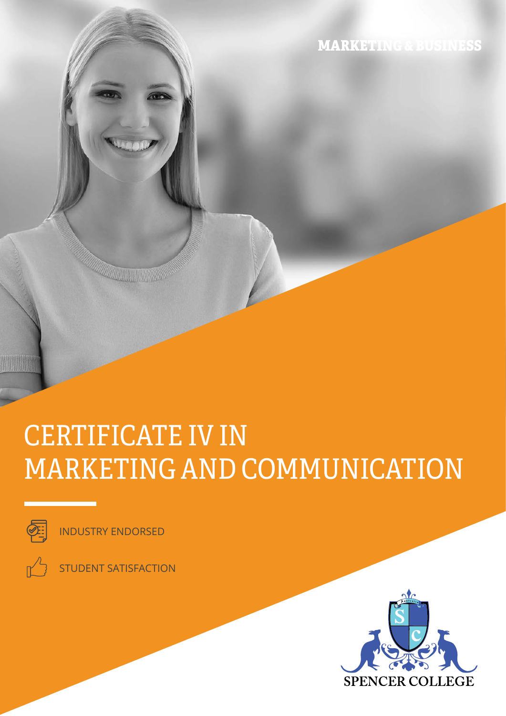MARKETING & BUSINESS

# CERTIFICATE IV IN MARKETING AND COMMUNICATION



INDUSTRY ENDORSED

**A TELEVISIONAL PROPERTY** 

STUDENT SATISFACTION